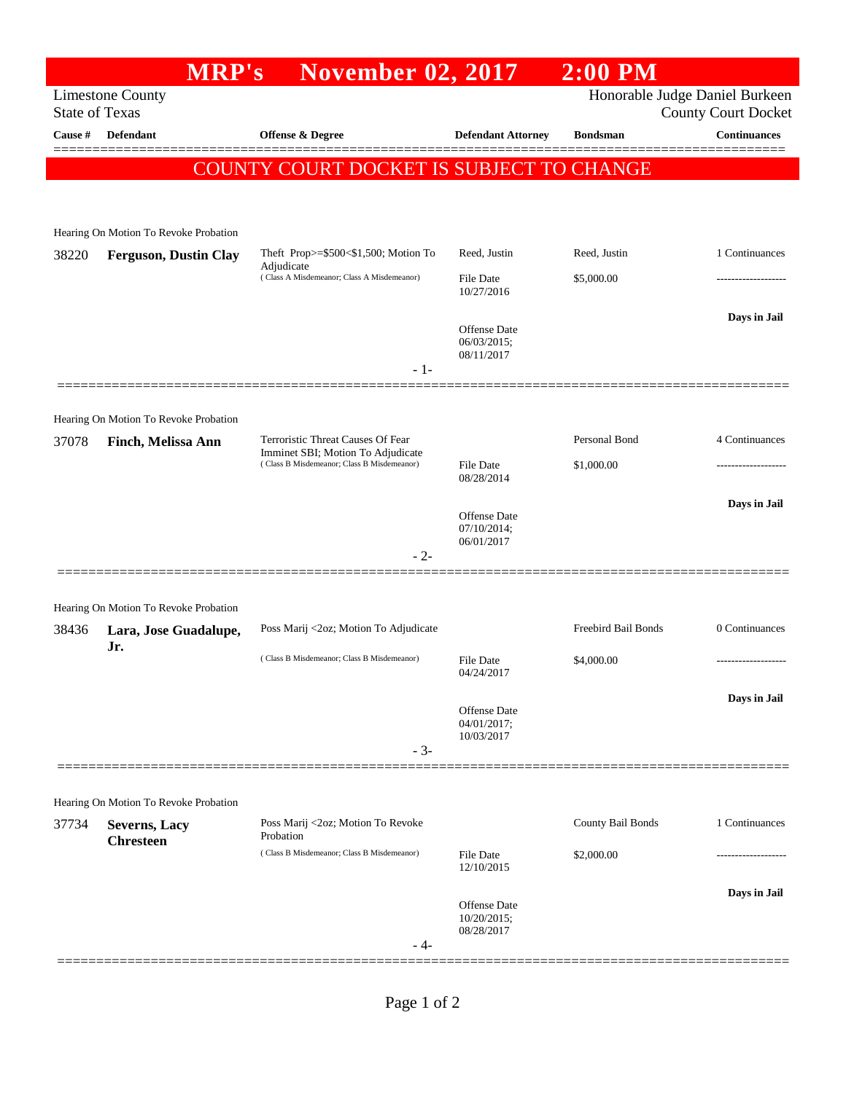## **MRP's November 02, 2017 2:00 PM** Limestone County Honorable Judge Daniel Burkeen State of Texas County Court Docket **Cause # Defendant Offense & Degree Defendant Attorney Bondsman Continuances** ============================================================================================== COUNTY COURT DOCKET IS SUBJECT TO CHANGE Hearing On Motion To Revoke Probation 38220 **Ferguson, Dustin Clay** Theft Prop>=\$500<\$1,500; Motion To Adjudicate Reed, Justin Reed, Justin 1 Continuances  $( Class A Misdemeanor; Class A Misdemeanor)$   $File Date$   $$5,000.00$ 10/27/2016 **Days in Jail**  Offense Date 06/03/2015; 08/11/2017 - 1- ============================================================================================== Hearing On Motion To Revoke Probation 37078 **Finch, Melissa Ann** Terroristic Threat Causes Of Fear Imminet SBI; Motion To Adjudicate Personal Bond 4 Continuances ( Class B Misdemeanor; Class B Misdemeanor) File Date \$1,000.00 08/28/2014 **Days in Jail**  Offense Date 07/10/2014; 06/01/2017 - 2- ============================================================================================== Hearing On Motion To Revoke Probation 38436 **Lara, Jose Guadalupe, Jr.** Poss Marij <2oz; Motion To Adjudicate Freebird Bail Bonds 0 Continuances ( Class B Misdemeanor; Class B Misdemeanor) File Date \$4,000.00 04/24/2017 **Days in Jail**  Offense Date 04/01/2017; 10/03/2017 - 3- ============================================================================================== Hearing On Motion To Revoke Probation 37734 **Severns, Lacy Chresteen** Poss Marij <2oz; Motion To Revoke Probation County Bail Bonds 1 Continuances ( Class B Misdemeanor; Class B Misdemeanor) File Date \$2,000.00 12/10/2015 **Days in Jail**  Offense Date 10/20/2015; 08/28/2017 - 4- ==============================================================================================